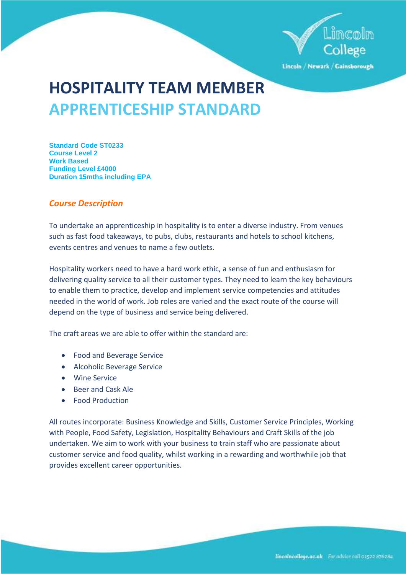

Lincoln / Newark / Gainsborough

# **HOSPITALITY TEAM MEMBER APPRENTICESHIP STANDARD**

**Standard Code ST0233 Course Level 2 Work Based Funding Level £4000 Duration 15mths including EPA**

# *Course Description*

To undertake an apprenticeship in hospitality is to enter a diverse industry. From venues such as fast food takeaways, to pubs, clubs, restaurants and hotels to school kitchens, events centres and venues to name a few outlets.

Hospitality workers need to have a hard work ethic, a sense of fun and enthusiasm for delivering quality service to all their customer types. They need to learn the key behaviours to enable them to practice, develop and implement service competencies and attitudes needed in the world of work. Job roles are varied and the exact route of the course will depend on the type of business and service being delivered.

The craft areas we are able to offer within the standard are:

- Food and Beverage Service
- Alcoholic Beverage Service
- Wine Service
- Beer and Cask Ale
- Food Production

All routes incorporate: Business Knowledge and Skills, Customer Service Principles, Working with People, Food Safety, Legislation, Hospitality Behaviours and Craft Skills of the job undertaken. We aim to work with your business to train staff who are passionate about customer service and food quality, whilst working in a rewarding and worthwhile job that provides excellent career opportunities.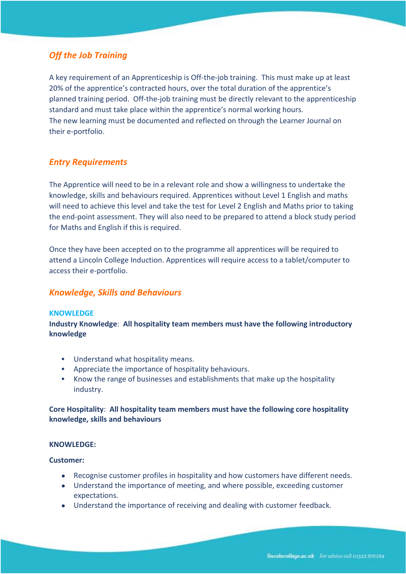# *Off the Job Training*

A key requirement of an Apprenticeship is Off-the-job training. This must make up at least 20% of the apprentice's contracted hours, over the total duration of the apprentice's planned training period. Off-the-job training must be directly relevant to the apprenticeship standard and must take place within the apprentice's normal working hours. The new learning must be documented and reflected on through the Learner Journal on their e-portfolio.

# *Entry Requirements*

The Apprentice will need to be in a relevant role and show a willingness to undertake the knowledge, skills and behaviours required. Apprentices without Level 1 English and maths will need to achieve this level and take the test for Level 2 English and Maths prior to taking the end-point assessment. They will also need to be prepared to attend a block study period for Maths and English if this is required.

Once they have been accepted on to the programme all apprentices will be required to attend a Lincoln College Induction. Apprentices will require access to a tablet/computer to access their e-portfolio.

### *Knowledge, Skills and Behaviours*

#### **KNOWLEDGE**

**Industry Knowledge**: **All hospitality team members must have the following introductory knowledge**

- Understand what hospitality means.
- Appreciate the importance of hospitality behaviours.
- Know the range of businesses and establishments that make up the hospitality industry.

## **Core Hospitality**: **All hospitality team members must have the following core hospitality knowledge, skills and behaviours**

#### **KNOWLEDGE:**

#### **Customer:**

- Recognise customer profiles in hospitality and how customers have different needs.
- Understand the importance of meeting, and where possible, exceeding customer expectations.
- Understand the importance of receiving and dealing with customer feedback.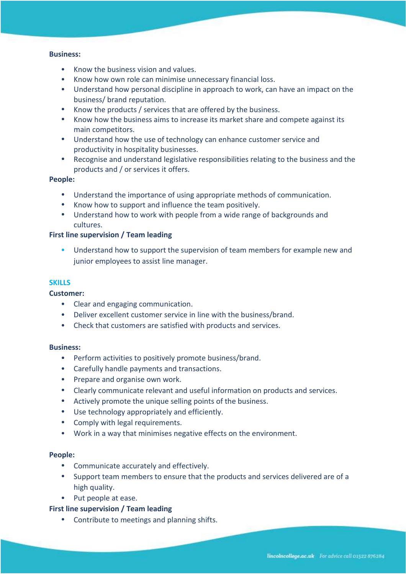#### **Business:**

- Know the business vision and values.
- Know how own role can minimise unnecessary financial loss.
- Understand how personal discipline in approach to work, can have an impact on the business/ brand reputation.
- Know the products / services that are offered by the business.
- Know how the business aims to increase its market share and compete against its main competitors.
- Understand how the use of technology can enhance customer service and productivity in hospitality businesses.
- Recognise and understand legislative responsibilities relating to the business and the products and / or services it offers.

#### **People:**

- Understand the importance of using appropriate methods of communication.
- Know how to support and influence the team positively.
- Understand how to work with people from a wide range of backgrounds and cultures.

#### **First line supervision / Team leading**

• Understand how to support the supervision of team members for example new and junior employees to assist line manager.

#### **SKILLS**

#### **Customer:**

- Clear and engaging communication.
- Deliver excellent customer service in line with the business/brand.
- Check that customers are satisfied with products and services.

#### **Business:**

- Perform activities to positively promote business/brand.
- Carefully handle payments and transactions.
- Prepare and organise own work.
- Clearly communicate relevant and useful information on products and services.
- Actively promote the unique selling points of the business.
- Use technology appropriately and efficiently.
- Comply with legal requirements.
- Work in a way that minimises negative effects on the environment.

#### **People:**

- Communicate accurately and effectively.
- Support team members to ensure that the products and services delivered are of a high quality.
- Put people at ease.

#### **First line supervision / Team leading**

• Contribute to meetings and planning shifts.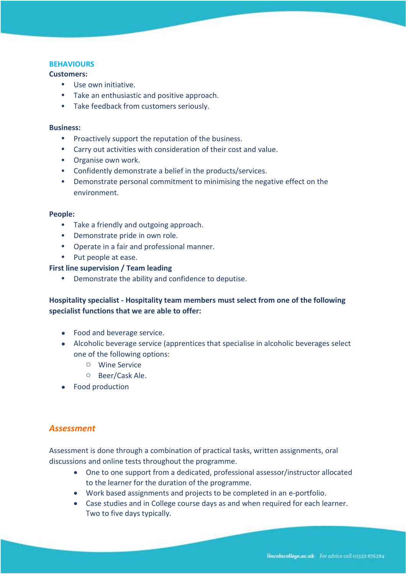#### **BEHAVIOURS**

#### **Customers:**

- Use own initiative.
- Take an enthusiastic and positive approach.
- Take feedback from customers seriously.

#### **Business:**

- Proactively support the reputation of the business.
- Carry out activities with consideration of their cost and value.
- Organise own work.
- Confidently demonstrate a belief in the products/services.
- Demonstrate personal commitment to minimising the negative effect on the environment.

#### **People:**

- Take a friendly and outgoing approach.
- Demonstrate pride in own role.
- Operate in a fair and professional manner.
- Put people at ease.

#### **First line supervision / Team leading**

• Demonstrate the ability and confidence to deputise.

# **Hospitality specialist - Hospitality team members must select from one of the following specialist functions that we are able to offer:**

- Food and beverage service.
- Alcoholic beverage service (apprentices that specialise in alcoholic beverages select one of the following options:
	- o Wine Service
	- o Beer/Cask Ale.
- Food production

## *Assessment*

Assessment is done through a combination of practical tasks, written assignments, oral discussions and online tests throughout the programme.

- One to one support from a dedicated, professional assessor/instructor allocated to the learner for the duration of the programme.
- Work based assignments and projects to be completed in an e-portfolio.
- Case studies and in College course days as and when required for each learner. Two to five days typically.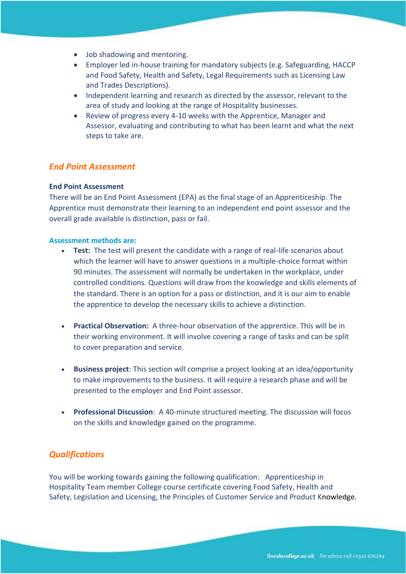- Job shadowing and mentoring.
- Employer led in-house training for mandatory subjects (e.g. Safeguarding, HACCP and Food Safety, Health and Safety, Legal Requirements such as Licensing Law and Trades Descriptions).
- Independent learning and research as directed by the assessor, relevant to the area of study and looking at the range of Hospitality businesses.
- Review of progress every 4-10 weeks with the Apprentice, Manager and Assessor, evaluating and contributing to what has been learnt and what the next steps to take are.

## *End Point Assessment*

#### **End Point Assessment**

There will be an End Point Assessment (EPA) as the final stage of an Apprenticeship. The Apprentice must demonstrate their learning to an independent end point assessor and the overall grade available is distinction, pass or fail.

#### **Assessment methods are:**

- **Test:** The test will present the candidate with a range of real-life scenarios about which the learner will have to answer questions in a multiple-choice format within 90 minutes. The assessment will normally be undertaken in the workplace, under controlled conditions. Questions will draw from the knowledge and skills elements of the standard. There is an option for a pass or distinction, and it is our aim to enable the apprentice to develop the necessary skills to achieve a distinction.
- **Practical Observation:** A three-hour observation of the apprentice. This will be in their working environment. It will involve covering a range of tasks and can be split to cover preparation and service.
- **Business project**: This section will comprise a project looking at an idea/opportunity to make improvements to the business. It will require a research phase and will be presented to the employer and End Point assessor.
- **Professional Discussion**: A 40-minute structured meeting. The discussion will focus on the skills and knowledge gained on the programme.

## *Qualifications*

You will be working towards gaining the following qualification: Apprenticeship in Hospitality Team member College course certificate covering Food Safety, Health and Safety, Legislation and Licensing, the Principles of Customer Service and Product Knowledge.